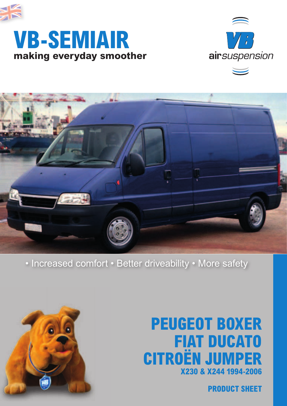

## **making everyday smoother VB-SEMIAIR**





## • Increased comfort • Better driveability • More safety



## **X230 & X244 1994-2006 PEUGEOT BOXER FIAT DUCATO CITROËN JUMPER**

**PRODUCT SHEET**